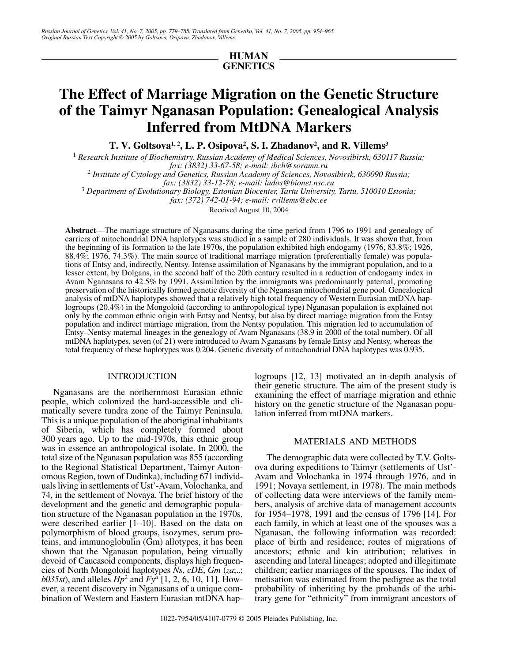# **HUMAN GENETICS**

# **The Effect of Marriage Migration on the Genetic Structure of the Taimyr Nganasan Population: Genealogical Analysis Inferred from MtDNA Markers**

T. V. Goltsova<sup>1, 2</sup>, L. P. Osipova<sup>2</sup>, S. I. Zhadanov<sup>2</sup>, and R. Villems<sup>3</sup>

<sup>1</sup> Research Institute of Biochemistry, Russian Academy of Medical Sciences, Novosibirsk, 630117 Russia;

*fax: (3832) 33-67-58; e-mail: ibch@soramn.ru* <sup>2</sup>  *Institute of Cytology and Genetics, Russian Academy of Sciences, Novosibirsk, 630090 Russia;*

*fax: (3832) 33-12-78; e-mail: ludos@bionet.nsc.ru* <sup>3</sup>  *Department of Evolutionary Biology, Estonian Biocenter, Tartu University, Tartu, 510010 Estonia;* 

*fax: (372) 742-01-94; e-mail: rvillems@ebc.ee*

Received August 10, 2004

**Abstract**—The marriage structure of Nganasans during the time period from 1796 to 1991 and genealogy of carriers of mitochondrial DNA haplotypes was studied in a sample of 280 individuals. It was shown that, from the beginning of its formation to the late 1970s, the population exhibited high endogamy (1976, 83.8%; 1926, 88.4%; 1976, 74.3%). The main source of traditional marriage migration (preferentially female) was populations of Entsy and, indirectly, Nentsy. Intense assimilation of Nganasans by the immigrant population, and to a lesser extent, by Dolgans, in the second half of the 20th century resulted in a reduction of endogamy index in Avam Nganasans to 42.5% by 1991. Assimilation by the immigrants was predominantly paternal, promoting preservation of the historically formed genetic diversity of the Nganasan mitochondrial gene pool. Genealogical analysis of mtDNA haplotypes showed that a relatively high total frequency of Western Eurasian mtDNA haplogroups (20.4%) in the Mongoloid (according to anthropological type) Nganasan population is explained not only by the common ethnic origin with Entsy and Nentsy, but also by direct marriage migration from the Entsy population and indirect marriage migration, from the Nentsy population. This migration led to accumulation of Entsy–Nentsy maternal lineages in the genealogy of Avam Nganasans (38.9 in 2000 of the total number). Of all mtDNA haplotypes, seven (of 21) were introduced to Avam Nganasans by female Entsy and Nentsy, whereas the total frequency of these haplotypes was 0.204. Genetic diversity of mitochondrial DNA haplotypes was 0.935.

## INTRODUCTION

Nganasans are the northernmost Eurasian ethnic people, which colonized the hard-accessible and climatically severe tundra zone of the Taimyr Peninsula. This is a unique population of the aboriginal inhabitants of Siberia, which has completely formed about 300 years ago. Up to the mid-1970s, this ethnic group was in essence an anthropological isolate. In 2000, the total size of the Nganasan population was 855 (according to the Regional Statistical Department, Taimyr Autonomous Region, town of Dudinka), including 671 individuals living in settlements of Ust'-Avam, Volochanka, and 74, in the settlement of Novaya. The brief history of the development and the genetic and demographic population structure of the Nganasan population in the 1970s, were described earlier  $[1-10]$ . Based on the data on polymorphism of blood groups, isozymes, serum proteins, and immunoglobulin (Gm) allotypes, it has been shown that the Nganasan population, being virtually devoid of Caucasoid components, displays high frequencies of North Mongoloid haplotypes *Ns*, *cDE*, *Gm* (*za*;..; *b* $035$ *st*), and alleles  $Hp^2$  and  $Fy^4$  [1, 2, 6, 10, 11]. However, a recent discovery in Nganasans of a unique combination of Western and Eastern Eurasian mtDNA haplogroups [12, 13] motivated an in-depth analysis of their genetic structure. The aim of the present study is examining the effect of marriage migration and ethnic history on the genetic structure of the Nganasan population inferred from mtDNA markers.

# MATERIALS AND METHODS

The demographic data were collected by T.V. Goltsova during expeditions to Taimyr (settlements of Ust'- Avam and Volochanka in 1974 through 1976, and in 1991; Novaya settlement, in 1978). The main methods of collecting data were interviews of the family members, analysis of archive data of management accounts for 1954–1978, 1991 and the census of 1796 [14]. For each family, in which at least one of the spouses was a Nganasan, the following information was recorded: place of birth and residence; routes of migrations of ancestors; ethnic and kin attribution; relatives in ascending and lateral lineages; adopted and illegitimate children; earlier marriages of the spouses. The index of metisation was estimated from the pedigree as the total probability of inheriting by the probands of the arbitrary gene for "ethnicity" from immigrant ancestors of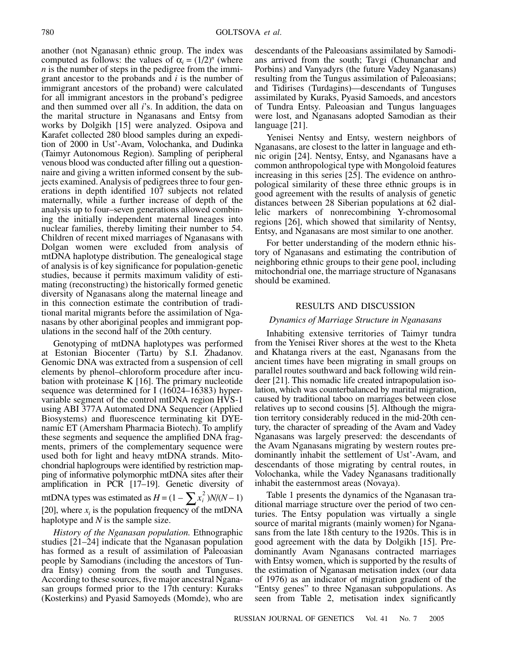another (not Nganasan) ethnic group. The index was computed as follows: the values of  $\alpha_i = (1/2)^n$  (where *n* is the number of steps in the pedigree from the immigrant ancestor to the probands and *i* is the number of immigrant ancestors of the proband) were calculated for all immigrant ancestors in the proband's pedigree and then summed over all *i*'s. In addition, the data on the marital structure in Nganasans and Entsy from works by Dolgikh [15] were analyzed. Osipova and Karafet collected 280 blood samples during an expedition of 2000 in Ust'-Avam, Volochanka, and Dudinka (Taimyr Autonomous Region). Sampling of peripheral venous blood was conducted after filling out a questionnaire and giving a written informed consent by the subjects examined. Analysis of pedigrees three to four generations in depth identified 107 subjects not related maternally, while a further increase of depth of the analysis up to four–seven generations allowed combining the initially independent maternal lineages into nuclear families, thereby limiting their number to 54. Children of recent mixed marriages of Nganasans with Dolgan women were excluded from analysis of mtDNA haplotype distribution. The genealogical stage of analysis is of key significance for population-genetic studies, because it permits maximum validity of estimating (reconstructing) the historically formed genetic diversity of Nganasans along the maternal lineage and in this connection estimate the contribution of traditional marital migrants before the assimilation of Nganasans by other aboriginal peoples and immigrant populations in the second half of the 20th century.

Genotyping of mtDNA haplotypes was performed at Estonian Biocenter (Tartu) by S.I. Zhadanov. Genomic DNA was extracted from a suspension of cell elements by phenol–chloroform procedure after incubation with proteinase K [16]. The primary nucleotide sequence was determined for I (16024–16383) hypervariable segment of the control mtDNA region HVS-1 using ABI 377A Automated DNA Sequencer (Applied Biosystems) and fluorescence terminating kit DYEnamic ET (Amersham Pharmacia Biotech). To amplify these segments and sequence the amplified DNA fragments, primers of the complementary sequence were used both for light and heavy mtDNA strands. Mitochondrial haplogroups were identified by restriction mapping of informative polymorphic mtDNA sites after their amplification in PCR [17–19]. Genetic diversity of mtDNA types was estimated as  $H = (1 - \sum x_i^2)N/(N-1)$ [20], where  $x_i$  is the population frequency of the mtDNA haplotype and *N* is the sample size.

*History of the Nganasan population.* Ethnographic studies [21–24] indicate that the Nganasan population has formed as a result of assimilation of Paleoasian people by Samodians (including the ancestors of Tundra Entsy) coming from the south and Tunguses. According to these sources, five major ancestral Nganasan groups formed prior to the 17th century: Kuraks (Kosterkins) and Pyasid Samoyeds (Momde), who are descendants of the Paleoasians assimilated by Samodians arrived from the south; Tavgi (Chunanchar and Porbins) and Vanyadyrs (the future Vadey Nganasans) resulting from the Tungus assimilation of Paleoasians; and Tidirises (Turdagins)—descendants of Tunguses assimilated by Kuraks, Pyasid Samoeds, and ancestors of Tundra Entsy. Paleoasian and Tungus languages were lost, and Nganasans adopted Samodian as their language [21].

Yenisei Nentsy and Entsy, western neighbors of Nganasans, are closest to the latter in language and ethnic origin [24]. Nentsy, Entsy, and Nganasans have a common anthropological type with Mongoloid features increasing in this series [25]. The evidence on anthropological similarity of these three ethnic groups is in good agreement with the results of analysis of genetic distances between 28 Siberian populations at 62 diallelic markers of nonrecombining Y-chromosomal regions [26], which showed that similarity of Nentsy, Entsy, and Nganasans are most similar to one another.

For better understanding of the modern ethnic history of Nganasans and estimating the contribution of neighboring ethnic groups to their gene pool, including mitochondrial one, the marriage structure of Nganasans should be examined.

#### RESULTS AND DISCUSSION

#### *Dynamics of Marriage Structure in Nganasans*

Inhabiting extensive territories of Taimyr tundra from the Yenisei River shores at the west to the Kheta and Khatanga rivers at the east, Nganasans from the ancient times have been migrating in small groups on parallel routes southward and back following wild reindeer [21]. This nomadic life created intrapopulation isolation, which was counterbalanced by marital migration, caused by traditional taboo on marriages between close relatives up to second cousins [5]. Although the migration territory considerably reduced in the mid-20th century, the character of spreading of the Avam and Vadey Nganasans was largely preserved: the descendants of the Avam Nganasans migrating by western routes predominantly inhabit the settlement of Ust'-Avam, and descendants of those migrating by central routes, in Volochanka, while the Vadey Nganasans traditionally inhabit the easternmost areas (Novaya).

Table 1 presents the dynamics of the Nganasan traditional marriage structure over the period of two centuries. The Entsy population was virtually a single source of marital migrants (mainly women) for Nganasans from the late 18th century to the 1920s. This is in good agreement with the data by Dolgikh [15]. Predominantly Avam Nganasans contracted marriages with Entsy women, which is supported by the results of the estimation of Nganasan metisation index (our data of 1976) as an indicator of migration gradient of the "Entsy genes" to three Nganasan subpopulations. As seen from Table 2, metisation index significantly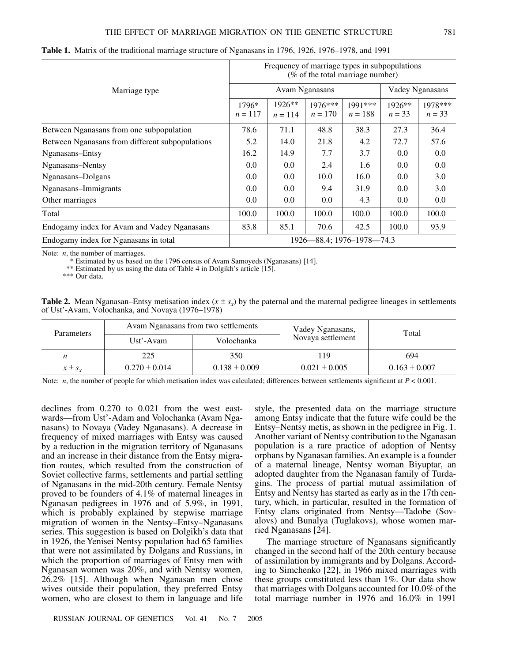|                                                 | Frequency of marriage types in subpopulations<br>(% of the total marriage number) |                       |                      |                      |                      |                     |  |  |
|-------------------------------------------------|-----------------------------------------------------------------------------------|-----------------------|----------------------|----------------------|----------------------|---------------------|--|--|
| Marriage type                                   |                                                                                   | Avam Nganasans        |                      |                      | Vadey Nganasans      |                     |  |  |
|                                                 | 1796*<br>$n = 117$                                                                | $1926**$<br>$n = 114$ | 1976***<br>$n = 170$ | 1991***<br>$n = 188$ | $1926**$<br>$n = 33$ | 1978***<br>$n = 33$ |  |  |
| Between Nganasans from one subpopulation        | 78.6                                                                              | 71.1                  | 48.8                 | 38.3                 | 27.3                 | 36.4                |  |  |
| Between Nganasans from different subpopulations | 5.2                                                                               | 14.0                  | 21.8                 | 4.2                  | 72.7                 | 57.6                |  |  |
| Nganasans-Entsy                                 | 16.2                                                                              | 14.9                  | 7.7                  | 3.7                  | 0.0                  | 0.0                 |  |  |
| Nganasans–Nentsy                                | 0.0                                                                               | 0.0                   | 2.4                  | 1.6                  | 0.0                  | 0.0                 |  |  |
| Nganasans–Dolgans                               | 0.0                                                                               | 0.0                   | 10.0                 | 16.0                 | 0.0                  | 3.0                 |  |  |
| Nganasans-Immigrants                            | 0.0                                                                               | 0.0                   | 9.4                  | 31.9                 | 0.0                  | 3.0                 |  |  |
| Other marriages                                 | 0.0                                                                               | 0.0                   | 0.0                  | 4.3                  | 0.0                  | 0.0                 |  |  |
| Total                                           | 100.0                                                                             | 100.0                 | 100.0                | 100.0                | 100.0                | 100.0               |  |  |
| Endogamy index for Avam and Vadey Nganasans     | 83.8                                                                              | 85.1                  | 70.6                 | 42.5                 | 100.0                | 93.9                |  |  |

|  |  |  |  | Table 1. Matrix of the traditional marriage structure of Nganasans in 1796, 1926, 1976–1978, and 1991 |  |  |  |  |
|--|--|--|--|-------------------------------------------------------------------------------------------------------|--|--|--|--|
|--|--|--|--|-------------------------------------------------------------------------------------------------------|--|--|--|--|

Note: *n*, the number of marriages.

\* Estimated by us based on the 1796 census of Avam Samoyeds (Nganasans) [14].

Endogamy index for Nganasans in total 1926—88.4; 1976–1978—74.3

\*\* Estimated by us using the data of Table 4 in Dolgikh's article [15].

\*\*\* Our data.

**Table 2.** Mean Nganasan–Entsy metisation index  $(x \pm s_x)$  by the paternal and the maternal pedigree lineages in settlements of Ust'-Avam, Volochanka, and Novaya (1976–1978)

| <b>Parameters</b> |                   | Avam Nganasans from two settlements | Vadey Nganasans,  | Total             |  |
|-------------------|-------------------|-------------------------------------|-------------------|-------------------|--|
|                   | Ust'-Avam         | Volochanka                          | Novaya settlement |                   |  |
| n                 | 225               | 350                                 | 119               | 694               |  |
| $x \pm s_r$       | $0.270 \pm 0.014$ | $0.138 \pm 0.009$                   | $0.021 \pm 0.005$ | $0.163 \pm 0.007$ |  |

Note: *n*, the number of people for which metisation index was calculated; differences between settlements significant at  $P < 0.001$ .

declines from 0.270 to 0.021 from the west eastwards—from Ust'-Adam and Volochanka (Avam Nganasans) to Novaya (Vadey Nganasans). A decrease in frequency of mixed marriages with Entsy was caused by a reduction in the migration territory of Nganasans and an increase in their distance from the Entsy migration routes, which resulted from the construction of Soviet collective farms, settlements and partial settling of Nganasans in the mid-20th century. Female Nentsy proved to be founders of 4.1% of maternal lineages in Nganasan pedigrees in 1976 and of 5.9%, in 1991, which is probably explained by stepwise marriage migration of women in the Nentsy–Entsy–Nganasans series. This suggestion is based on Dolgikh's data that in 1926, the Yenisei Nentsy population had 65 families that were not assimilated by Dolgans and Russians, in which the proportion of marriages of Entsy men with Nganasan women was 20%, and with Nentsy women, 26.2% [15]. Although when Nganasan men chose wives outside their population, they preferred Entsy women, who are closest to them in language and life style, the presented data on the marriage structure among Entsy indicate that the future wife could be the Entsy–Nentsy metis, as shown in the pedigree in Fig. 1. Another variant of Nentsy contribution to the Nganasan population is a rare practice of adoption of Nentsy orphans by Nganasan families. An example is a founder of a maternal lineage, Nentsy woman Biyuptar, an adopted daughter from the Nganasan family of Turdagins. The process of partial mutual assimilation of Entsy and Nentsy has started as early as in the 17th century, which, in particular, resulted in the formation of Entsy clans originated from Nentsy—Tadobe (Sovalovs) and Bunalya (Tuglakovs), whose women married Nganasans [24].

The marriage structure of Nganasans significantly changed in the second half of the 20th century because of assimilation by immigrants and by Dolgans. According to Simchenko [22], in 1966 mixed marriages with these groups constituted less than 1%. Our data show that marriages with Dolgans accounted for 10.0% of the total marriage number in 1976 and 16.0% in 1991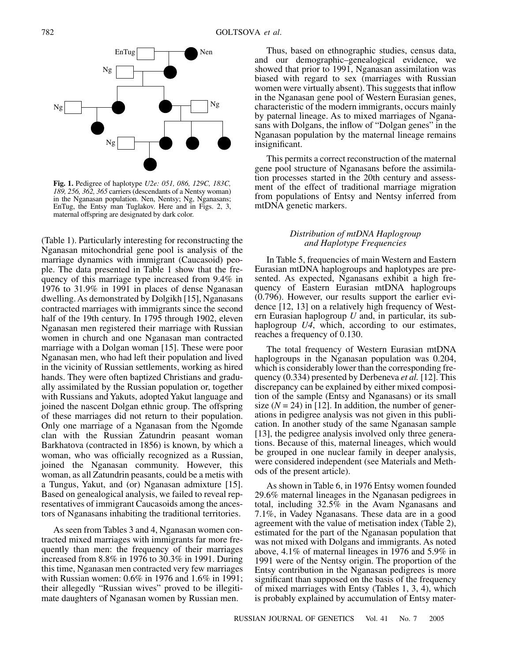

**Fig. 1.** Pedigree of haplotype *U2e: 051, 086, 129C, 183C, 189, 256, 362, 365* carriers (descendants of a Nentsy woman) in the Nganasan population. Nen, Nentsy; Ng, Nganasans; EnTug, the Entsy man Tuglakov. Here and in Figs. 2, 3, maternal offspring are designated by dark color.

(Table 1). Particularly interesting for reconstructing the Nganasan mitochondrial gene pool is analysis of the marriage dynamics with immigrant (Caucasoid) people. The data presented in Table 1 show that the frequency of this marriage type increased from 9.4% in 1976 to 31.9% in 1991 in places of dense Nganasan dwelling. As demonstrated by Dolgikh [15], Nganasans contracted marriages with immigrants since the second half of the 19th century. In 1795 through 1902, eleven Nganasan men registered their marriage with Russian women in church and one Nganasan man contracted marriage with a Dolgan woman [15]. These were poor Nganasan men, who had left their population and lived in the vicinity of Russian settlements, working as hired hands. They were often baptized Christians and gradually assimilated by the Russian population or, together with Russians and Yakuts, adopted Yakut language and joined the nascent Dolgan ethnic group. The offspring of these marriages did not return to their population. Only one marriage of a Nganasan from the Ngomde clan with the Russian Zatundrin peasant woman Barkhatova (contracted in 1856) is known, by which a woman, who was officially recognized as a Russian, joined the Nganasan community. However, this woman, as all Zatundrin peasants, could be a metis with a Tungus, Yakut, and (or) Nganasan admixture [15]. Based on genealogical analysis, we failed to reveal representatives of immigrant Caucasoids among the ancestors of Nganasans inhabiting the traditional territories.

As seen from Tables 3 and 4, Nganasan women contracted mixed marriages with immigrants far more frequently than men: the frequency of their marriages increased from 8.8% in 1976 to 30.3% in 1991. During this time, Nganasan men contracted very few marriages with Russian women: 0.6% in 1976 and 1.6% in 1991; their allegedly "Russian wives" proved to be illegitimate daughters of Nganasan women by Russian men.

Thus, based on ethnographic studies, census data, and our demographic–genealogical evidence, we showed that prior to 1991, Nganasan assimilation was biased with regard to sex (marriages with Russian women were virtually absent). This suggests that inflow in the Nganasan gene pool of Western Eurasian genes, characteristic of the modern immigrants, occurs mainly by paternal lineage. As to mixed marriages of Nganasans with Dolgans, the inflow of "Dolgan genes" in the Nganasan population by the maternal lineage remains insignificant.

This permits a correct reconstruction of the maternal gene pool structure of Nganasans before the assimilation processes started in the 20th century and assessment of the effect of traditional marriage migration from populations of Entsy and Nentsy inferred from mtDNA genetic markers.

# *Distribution of mtDNA Haplogroup and Haplotype Frequencies*

In Table 5, frequencies of main Western and Eastern Eurasian mtDNA haplogroups and haplotypes are presented. As expected, Nganasans exhibit a high frequency of Eastern Eurasian mtDNA haplogroups (0.796). However, our results support the earlier evidence [12, 13] on a relatively high frequency of Western Eurasian haplogroup *U* and, in particular, its subhaplogroup *U4*, which, according to our estimates, reaches a frequency of 0.130.

The total frequency of Western Eurasian mtDNA haplogroups in the Nganasan population was 0.204, which is considerably lower than the corresponding frequency (0.334) presented by Derbeneva *et al.* [12]. This discrepancy can be explained by either mixed composition of the sample (Entsy and Nganasans) or its small size  $(N = 24)$  in [12]. In addition, the number of generations in pedigree analysis was not given in this publication. In another study of the same Nganasan sample [13], the pedigree analysis involved only three generations. Because of this, maternal lineages, which would be grouped in one nuclear family in deeper analysis, were considered independent (see Materials and Methods of the present article).

As shown in Table 6, in 1976 Entsy women founded 29.6% maternal lineages in the Nganasan pedigrees in total, including 32.5% in the Avam Nganasans and 7.1%, in Vadey Nganasans. These data are in a good agreement with the value of metisation index (Table 2), estimated for the part of the Nganasan population that was not mixed with Dolgans and immigrants. As noted above, 4.1% of maternal lineages in 1976 and 5.9% in 1991 were of the Nentsy origin. The proportion of the Entsy contribution in the Nganasan pedigrees is more significant than supposed on the basis of the frequency of mixed marriages with Entsy (Tables 1, 3, 4), which is probably explained by accumulation of Entsy mater-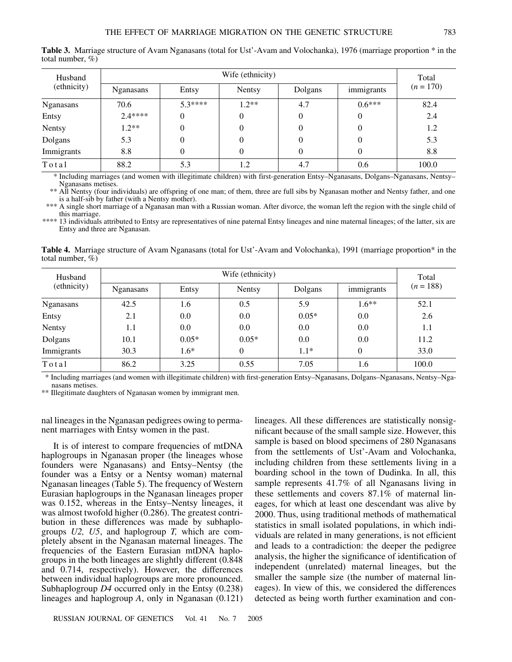| Husband          |                  | Total     |               |          |            |             |
|------------------|------------------|-----------|---------------|----------|------------|-------------|
| (ethnicity)      | <b>Nganasans</b> | Entsy     | <b>Nentsy</b> | Dolgans  | immigrants | $(n = 170)$ |
| <b>Nganasans</b> | 70.6             | $5.3****$ | $1.2**$       | 4.7      | $0.6***$   | 82.4        |
| Entsy            | $2.4***$         | 0         | 0             | 0        | 0          | 2.4         |
| Nentsy           | $1.2**$          | 0         | 0             | 0        | 0          | 1.2         |
| Dolgans          | 5.3              |           | 0             | 0        | 0          | 5.3         |
| Immigrants       | 8.8              |           | $\theta$      | $\Omega$ | 0          | 8.8         |
| Total            | 88.2             | 5.3       | 1.2           | 4.7      | 0.6        | 100.0       |

**Table 3.** Marriage structure of Avam Nganasans (total for Ust'-Avam and Volochanka), 1976 (marriage proportion \* in the total number, %)

 \* Including marriages (and women with illegitimate children) with first-generation Entsy–Nganasans, Dolgans–Nganasans, Nentsy– Nganasans metises.

 \*\* All Nentsy (four individuals) are offspring of one man; of them, three are full sibs by Nganasan mother and Nentsy father, and one is a half-sib by father (with a Nentsy mother).

 \*\*\* A single short marriage of a Nganasan man with a Russian woman. After divorce, the woman left the region with the single child of this marriage.

\*\*\*\* 13 individuals attributed to Entsy are representatives of nine paternal Entsy lineages and nine maternal lineages; of the latter, six are Entsy and three are Nganasan.

**Table 4.** Marriage structure of Avam Nganasans (total for Ust'-Avam and Volochanka), 1991 (marriage proportion\* in the total number, %)

| Husband<br>(ethnicity) |           | Total   |               |         |            |             |
|------------------------|-----------|---------|---------------|---------|------------|-------------|
|                        | Nganasans | Entsy   | <b>Nentsy</b> | Dolgans | immigrants | $(n = 188)$ |
| <b>Nganasans</b>       | 42.5      | 1.6     | 0.5           | 5.9     | $1.6**$    | 52.1        |
| Entsy                  | 2.1       | 0.0     | 0.0           | $0.05*$ | 0.0        | 2.6         |
| Nentsy                 | 1.1       | 0.0     | 0.0           | 0.0     | 0.0        | 1.1         |
| Dolgans                | 10.1      | $0.05*$ | $0.05*$       | 0.0     | 0.0        | 11.2        |
| Immigrants             | 30.3      | $1.6*$  | 0             | $1.1*$  | $\theta$   | 33.0        |
| Total                  | 86.2      | 3.25    | 0.55          | 7.05    | 1.6        | 100.0       |

 \* Including marriages (and women with illegitimate children) with first-generation Entsy–Nganasans, Dolgans–Nganasans, Nentsy–Nga nasans metises.

\*\* Illegitimate daughters of Nganasan women by immigrant men.

nal lineages in the Nganasan pedigrees owing to permanent marriages with Entsy women in the past.

It is of interest to compare frequencies of mtDNA haplogroups in Nganasan proper (the lineages whose founders were Nganasans) and Entsy–Nentsy (the founder was a Entsy or a Nentsy woman) maternal Nganasan lineages (Table 5). The frequency of Western Eurasian haplogroups in the Nganasan lineages proper was 0.152, whereas in the Entsy–Nentsy lineages, it was almost twofold higher (0.286). The greatest contribution in these differences was made by subhaplogroups *U2, U5*, and haplogroup *T,* which are completely absent in the Nganasan maternal lineages. The frequencies of the Eastern Eurasian mtDNA haplogroups in the both lineages are slightly different (0.848 and 0.714, respectively). However, the differences between individual haplogroups are more pronounced. Subhaplogroup *D4* occurred only in the Entsy (0.238) lineages and haplogroup *A*, only in Nganasan (0.121) lineages. All these differences are statistically nonsignificant because of the small sample size. However, this sample is based on blood specimens of 280 Nganasans from the settlements of Ust'-Avam and Volochanka, including children from these settlements living in a boarding school in the town of Dudinka. In all, this sample represents 41.7% of all Nganasans living in these settlements and covers 87.1% of maternal lineages, for which at least one descendant was alive by 2000. Thus, using traditional methods of mathematical statistics in small isolated populations, in which individuals are related in many generations, is not efficient and leads to a contradiction: the deeper the pedigree analysis, the higher the significance of identification of independent (unrelated) maternal lineages, but the smaller the sample size (the number of maternal lineages). In view of this, we considered the differences detected as being worth further examination and con-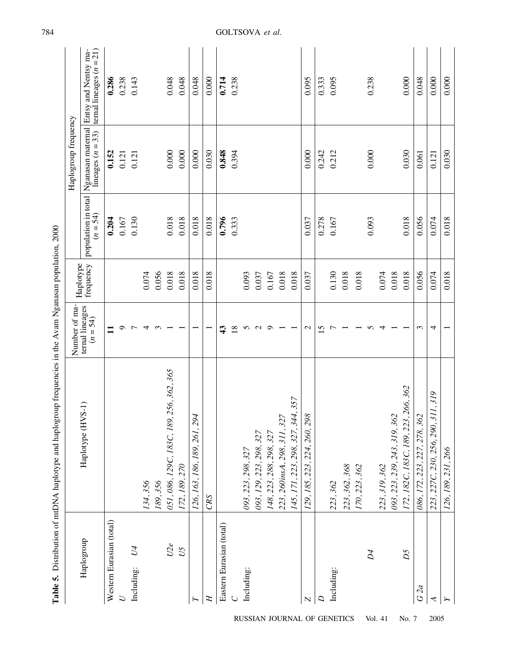|                          | Table 5. Distribution of mtDNA haplotype and haplogroup frequencies in the Avam Nganasan population, 2000 |                            |                        |                                   |                                            |                                                    |
|--------------------------|-----------------------------------------------------------------------------------------------------------|----------------------------|------------------------|-----------------------------------|--------------------------------------------|----------------------------------------------------|
|                          |                                                                                                           | Number of ma-              |                        |                                   | Haplogroup frequency                       |                                                    |
| Haplogroup               | Haplotype (HVS-1)                                                                                         | ternal lineages $(n = 54)$ | Haplotype<br>frequency | population in total<br>$(n = 54)$ | Nganasan maternal<br>lineages ( $n = 33$ ) | ternal lineages $(n = 21)$<br>Entsy and Nentsy ma- |
| Western Eurasian (total) |                                                                                                           | $\mathbf{I}$               |                        | 0.204                             | 0.152                                      | 0.286                                              |
| こ                        |                                                                                                           | $\sigma$                   |                        | 0.167                             | 0.121                                      | 0.238                                              |
| U4<br>Including:         |                                                                                                           | $\overline{r}$             |                        | 0.130                             | 0.121                                      | 0.143                                              |
|                          | 134, 356                                                                                                  | 4                          | 0.074                  |                                   |                                            |                                                    |
|                          | 189, 356                                                                                                  | $\mathfrak{c}$             | 0.056                  |                                   |                                            |                                                    |
| U2e                      | 051, 086, 129C, 183C, 189, 256, 362, 365                                                                  |                            | 0.018                  | 0.018                             | 0.000                                      | 0.048                                              |
| U5                       | 172, 189, 270                                                                                             |                            | 0.018                  | 0.018                             | 0.000                                      | 0.048                                              |
| $\mathord{\vdash}$       | 126, 163, 186, 189, 261, 294                                                                              |                            | 0.018                  | 0.018                             | 0.000                                      | 0.048                                              |
| Н                        | CRS                                                                                                       | $\overline{\phantom{0}}$   | 0.018                  | 0.018                             | 0.030                                      | 0.000                                              |
| Eastern Eurasian (total) |                                                                                                           | $\boldsymbol{3}$           |                        | 0.796                             | 0.848                                      | 0.714                                              |
| $\cup$                   |                                                                                                           | $\overline{18}$            |                        | 0.333                             | 0.394                                      | 0.238                                              |
| Including:               | 093, 223, 298, 327                                                                                        | 5                          | 0.093                  |                                   |                                            |                                                    |
|                          | 093, 129, 223, 298, 327                                                                                   | $\sim$                     | 0.037                  |                                   |                                            |                                                    |
|                          | 148, 223, 288, 298, 327                                                                                   | $\mathbf{\Omega}$          | 0.167                  |                                   |                                            |                                                    |
|                          | 223, 260insA, 298, 311, 327                                                                               |                            | 0.018                  |                                   |                                            |                                                    |
|                          | 145, 171, 223, 298, 327, 344, 357                                                                         |                            | 0.018                  |                                   |                                            |                                                    |
| N                        | 129, 185, 223, 224, 260, 298                                                                              | $\mathcal{L}$              | 0.037                  | 0.037                             | 0.000                                      | 0.095                                              |
| D                        |                                                                                                           | $\overline{15}$            |                        | 0.278                             | 0.242                                      | 0.333                                              |
| Including:               | 223, 362                                                                                                  | 7                          | 0.130                  | 0.167                             | 0.212                                      | 0.095                                              |
|                          | 223, 362, 368                                                                                             |                            | 0.018                  |                                   |                                            |                                                    |
|                          | 170, 223, 362                                                                                             |                            | 0.018                  |                                   |                                            |                                                    |
| P4                       |                                                                                                           | 5                          |                        | 0.093                             | 0.000                                      | 0.238                                              |
|                          | 223, 319, 362                                                                                             | 4                          | 0.074                  |                                   |                                            |                                                    |
|                          | 093, 223, 239, 243, 319, 362                                                                              |                            | 0.018                  |                                   |                                            |                                                    |
| D5                       | 172, 182C, 183C, 189, 223, 266, 362                                                                       |                            | 0.018                  | 0.018                             | 0.030                                      | 0.000                                              |
| G2a                      | 086, 172, 223, 227, 278, 362                                                                              | $\epsilon$                 | 0.056                  | 0.056                             | 0.061                                      | 0.048                                              |
| ₹                        | 223, 227C, 230, 256, 290, 311, 319                                                                        | 4                          | 0.074                  | 0.074                             | 0.121                                      | 0.000                                              |
| Υ                        | 126, 189, 231, 266                                                                                        |                            | 0.018                  | 0.018                             | 0.030                                      | 0.000                                              |

÷ J. ž  $\overline{\phantom{a}}$ J. J. J.  $\frac{1}{2}$ ÷  $\frac{1}{7}$  $\frac{1}{2}$ أبي.<br>أ DNI A  $\overline{a}$ ÷  $\frac{1}{2}$  $\ddot{\tilde{c}}$ 

RUSSIAN JOURNAL OF GENETICS Vol. 41 No. 7 2005

784

GOLTSOVA *et al*.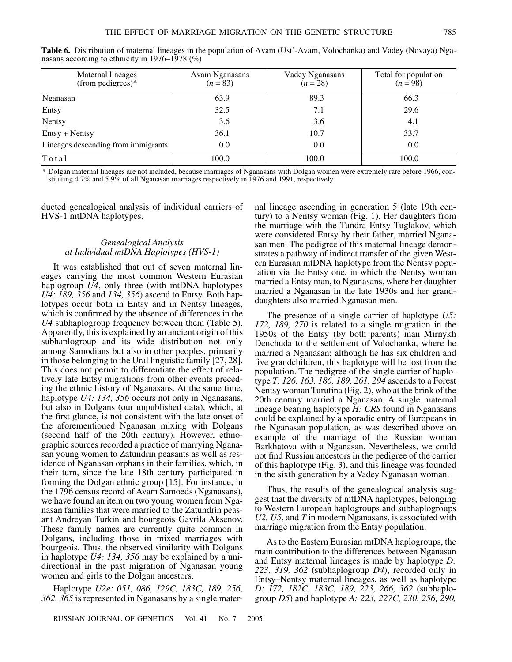| Maternal lineages<br>(from pedigrees)* | Avam Nganasans<br>$(n = 83)$ | Vadey Nganasans<br>$(n = 28)$ | Total for population<br>$(n = 98)$ |
|----------------------------------------|------------------------------|-------------------------------|------------------------------------|
| Nganasan                               | 63.9                         | 89.3                          | 66.3                               |
| Entsy                                  | 32.5                         | 7.1                           | 29.6                               |
| Nentsy                                 | 3.6                          | 3.6                           | 4.1                                |
| Entsy + Nentsy                         | 36.1                         | 10.7                          | 33.7                               |
| Lineages descending from immigrants    | 0.0                          | 0.0                           | 0.0                                |
| Total                                  | 100.0                        | 100.0                         | 100.0                              |

**Table 6.** Distribution of maternal lineages in the population of Avam (Ust'-Avam, Volochanka) and Vadey (Novaya) Nganasans according to ethnicity in 1976–1978 (%)

\* Dolgan maternal lineages are not included, because marriages of Nganasans with Dolgan women were extremely rare before 1966, constituting 4.7% and 5.9% of all Nganasan marriages respectively in 1976 and 1991, respectively.

ducted genealogical analysis of individual carriers of HVS-1 mtDNA haplotypes.

## *Genealogical Analysis at Individual mtDNA Haplotypes (HVS-1)*

It was established that out of seven maternal lineages carrying the most common Western Eurasian haplogroup *U4*, only three (with mtDNA haplotypes *U4: 189, 356* and *134, 356*) ascend to Entsy. Both haplotypes occur both in Entsy and in Nentsy lineages, which is confirmed by the absence of differences in the *U4* subhaplogroup frequency between them (Table 5). Apparently, this is explained by an ancient origin of this subhaplogroup and its wide distribution not only among Samodians but also in other peoples, primarily in those belonging to the Ural linguistic family [27, 28]. This does not permit to differentiate the effect of relatively late Entsy migrations from other events preceding the ethnic history of Nganasans. At the same time, haplotype *U4: 134, 356* occurs not only in Nganasans, but also in Dolgans (our unpublished data), which, at the first glance, is not consistent with the late onset of the aforementioned Nganasan mixing with Dolgans (second half of the 20th century). However, ethnographic sources recorded a practice of marrying Nganasan young women to Zatundrin peasants as well as residence of Nganasan orphans in their families, which, in their turn, since the late 18th century participated in forming the Dolgan ethnic group [15]. For instance, in the 1796 census record of Avam Samoeds (Nganasans), we have found an item on two young women from Nganasan families that were married to the Zatundrin peasant Andreyan Turkin and bourgeois Gavrila Aksenov. These family names are currently quite common in Dolgans, including those in mixed marriages with bourgeois. Thus, the observed similarity with Dolgans in haplotype *U4: 134, 356* may be explained by a unidirectional in the past migration of Nganasan young women and girls to the Dolgan ancestors.

Haplotype *U2e: 051, 086, 129C, 183C, 189, 256, 362, 365* is represented in Nganasans by a single maternal lineage ascending in generation 5 (late 19th century) to a Nentsy woman (Fig. 1). Her daughters from the marriage with the Tundra Entsy Tuglakov, which were considered Entsy by their father, married Nganasan men. The pedigree of this maternal lineage demonstrates a pathway of indirect transfer of the given Western Eurasian mtDNA haplotype from the Nentsy population via the Entsy one, in which the Nentsy woman married a Entsy man, to Nganasans, where her daughter married a Nganasan in the late 1930s and her granddaughters also married Nganasan men.

The presence of a single carrier of haplotype *U5: 172, 189, 270* is related to a single migration in the 1950s of the Entsy (by both parents) man Mirnykh Denchuda to the settlement of Volochanka, where he married a Nganasan; although he has six children and five grandchildren, this haplotype will be lost from the population. The pedigree of the single carrier of haplotype *T: 126, 163, 186, 189, 261, 294* ascends to a Forest Nentsy woman Turutina (Fig. 2), who at the brink of the 20th century married a Nganasan. A single maternal lineage bearing haplotype *H: CRS* found in Nganasans could be explained by a sporadic entry of Europeans in the Nganasan population, as was described above on example of the marriage of the Russian woman Barkhatova with a Nganasan. Nevertheless, we could not find Russian ancestors in the pedigree of the carrier of this haplotype (Fig. 3), and this lineage was founded in the sixth generation by a Vadey Nganasan woman.

Thus, the results of the genealogical analysis suggest that the diversity of mtDNA haplotypes, belonging to Western European haplogroups and subhaplogroups *U2, U5*, and *T* in modern Nganasans, is associated with marriage migration from the Entsy population.

As to the Eastern Eurasian mtDNA haplogroups, the main contribution to the differences between Nganasan and Entsy maternal lineages is made by haplotype *D: 223, 319, 362* (subhaplogroup *D4*), recorded only in Entsy–Nentsy maternal lineages, as well as haplotype *D: 172, 182C, 183C, 189, 223, 266, 362* (subhaplogroup *D5*) and haplotype *A: 223, 227C, 230, 256, 290,*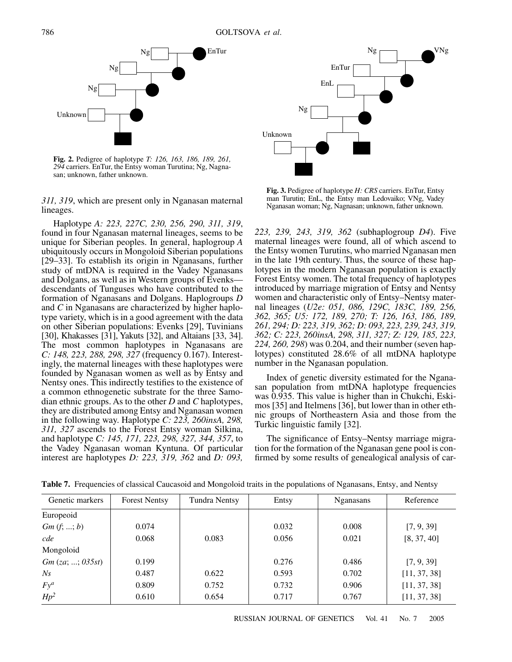

**Fig. 2.** Pedigree of haplotype *T: 126, 163, 186, 189, 261, 294* carriers. EnTur, the Entsy woman Turutina; Ng, Nagnasan; unknown, father unknown.

*311, 319*, which are present only in Nganasan maternal lineages.

Haplotype *A: 223, 227C, 230, 256, 290, 311, 319*, found in four Nganasan maternal lineages, seems to be unique for Siberian peoples. In general, haplogroup *A* ubiquitously occurs in Mongoloid Siberian populations [29–33]. To establish its origin in Nganasans, further study of mtDNA is required in the Vadey Nganasans and Dolgans, as well as in Western groups of Evenks descendants of Tunguses who have contributed to the formation of Nganasans and Dolgans. Haplogroups *D* and *C* in Nganasans are characterized by higher haplotype variety, which is in a good agreement with the data on other Siberian populations: Evenks [29], Tuvinians [30], Khakasses [31], Yakuts [32], and Altaians [33, 34]. The most common haplotypes in Nganasans are *C: 148, 223, 288, 298, 327* (frequency 0.167). Interestingly, the maternal lineages with these haplotypes were founded by Nganasan women as well as by Entsy and Nentsy ones. This indirectly testifies to the existence of a common ethnogenetic substrate for the three Samodian ethnic groups. As to the other *D* and *C* haplotypes, they are distributed among Entsy and Nganasan women in the following way. Haplotype *C: 223, 260insA, 298, 311, 327* ascends to the Forest Entsy woman Silkina, and haplotype *C: 145, 171, 223, 298, 327, 344, 357*, to the Vadey Nganasan woman Kyntuna. Of particular interest are haplotypes *D: 223, 319, 362* and *D: 093,*



**Fig. 3.** Pedigree of haplotype *H: CRS* carriers. EnTur, Entsy man Turutin; EnL, the Entsy man Ledovaiko; VNg, Vadey Nganasan woman; Ng, Nagnasan; unknown, father unknown.

*223, 239, 243, 319, 362* (subhaplogroup *D4*). Five maternal lineages were found, all of which ascend to the Entsy women Turutins, who married Nganasan men in the late 19th century. Thus, the source of these haplotypes in the modern Nganasan population is exactly Forest Entsy women. The total frequency of haplotypes introduced by marriage migration of Entsy and Nentsy women and characteristic only of Entsy–Nentsy maternal lineages (*U2e: 051, 086, 129C, 183C, 189, 256, 362, 365; U5: 172, 189, 270; T: 126, 163, 186, 189, 261, 294; D: 223, 319, 362; D: 093, 223, 239, 243, 319, 362; C: 223, 260insA, 298, 311, 327; Z: 129, 185, 223, 224, 260, 298*) was 0.204, and their number (seven haplotypes) constituted 28.6% of all mtDNA haplotype number in the Nganasan population.

Index of genetic diversity estimated for the Nganasan population from mtDNA haplotype frequencies was 0.935. This value is higher than in Chukchi, Eskimos [35] and Itelmens [36], but lower than in other ethnic groups of Northeastern Asia and those from the Turkic linguistic family [32].

The significance of Entsy–Nentsy marriage migration for the formation of the Nganasan gene pool is confirmed by some results of genealogical analysis of car-

| Genetic markers | <b>Forest Nentsy</b> | Tundra Nentsy | Entsy | <b>Nganasans</b> | Reference    |
|-----------------|----------------------|---------------|-------|------------------|--------------|
| Europeoid       |                      |               |       |                  |              |
| Gm(f; ; b)      | 0.074                |               | 0.032 | 0.008            | [7, 9, 39]   |
| cde             | 0.068                | 0.083         | 0.056 | 0.021            | [8, 37, 40]  |
| Mongoloid       |                      |               |       |                  |              |
| Gm(za; ; 035st) | 0.199                |               | 0.276 | 0.486            | [7, 9, 39]   |
| N <sub>S</sub>  | 0.487                | 0.622         | 0.593 | 0.702            | [11, 37, 38] |
| $F y^a$         | 0.809                | 0.752         | 0.732 | 0.906            | [11, 37, 38] |
| $Hp^2$          | 0.610                | 0.654         | 0.717 | 0.767            | [11, 37, 38] |

**Table 7.** Frequencies of classical Caucasoid and Mongoloid traits in the populations of Nganasans, Entsy, and Nentsy

RUSSIAN JOURNAL OF GENETICS Vol. 41 No. 7 2005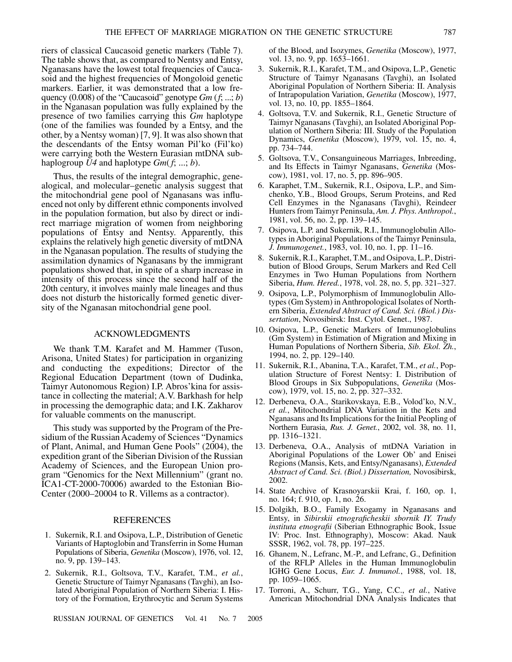riers of classical Caucasoid genetic markers (Table 7). The table shows that, as compared to Nentsy and Entsy, Nganasans have the lowest total frequencies of Caucasoid and the highest frequencies of Mongoloid genetic markers. Earlier, it was demonstrated that a low frequency (0.008) of the "Caucasoid" genotype *Gm* (*f*; ...; *b*) in the Nganasan population was fully explained by the presence of two families carrying this *Gm* haplotype (one of the families was founded by a Entsy, and the other, by a Nentsy woman) [7, 9]. It was also shown that the descendants of the Entsy woman Pil'ko (Fil'ko) were carrying both the Western Eurasian mtDNA subhaplogroup *U4* and haplotype *Gm*(*f*; ...; *b*).

Thus, the results of the integral demographic, genealogical, and molecular–genetic analysis suggest that the mitochondrial gene pool of Nganasans was influenced not only by different ethnic components involved in the population formation, but also by direct or indirect marriage migration of women from neighboring populations of Entsy and Nentsy. Apparently, this explains the relatively high genetic diversity of mtDNA in the Nganasan population. The results of studying the assimilation dynamics of Nganasans by the immigrant populations showed that, in spite of a sharp increase in intensity of this process since the second half of the 20th century, it involves mainly male lineages and thus does not disturb the historically formed genetic diversity of the Nganasan mitochondrial gene pool.

## ACKNOWLEDGMENTS

We thank T.M. Karafet and M. Hammer (Tuson, Arisona, United States) for participation in organizing and conducting the expeditions; Director of the Regional Education Department (town of Dudinka, Taimyr Autonomous Region) I.P. Abros'kina for assistance in collecting the material; A.V. Barkhash for help in processing the demographic data; and I.K. Zakharov for valuable comments on the manuscript.

This study was supported by the Program of the Presidium of the Russian Academy of Sciences "Dynamics of Plant, Animal, and Human Gene Pools" (2004), the expedition grant of the Siberian Division of the Russian Academy of Sciences, and the European Union program "Genomics for the Next Millennium" (grant no. ICA1-CT-2000-70006) awarded to the Estonian Bio-Center (2000–20004 to R. Villems as a contractor).

#### REFERENCES

- 1. Sukernik, R.I. and Osipova, L.P., Distribution of Genetic Variants of Haptoglobin and Transferrin in Some Human Populations of Siberia, *Genetika* (Moscow), 1976, vol. 12, no. 9, pp. 139–143.
- 2. Sukernik, R.I., Goltsova, T.V., Karafet, T.M., *et al.*, Genetic Structure of Taimyr Nganasans (Tavghi), an Isolated Aboriginal Population of Northern Siberia: I. History of the Formation, Erythrocytic and Serum Systems

RUSSIAN JOURNAL OF GENETICS Vol. 41 No. 7 2005

of the Blood, and Isozymes, *Genetika* (Moscow), 1977, vol. 13, no. 9, pp. 1653–1661.

- 3. Sukernik, R.I., Karafet, T.M., and Osipova, L.P., Genetic Structure of Taimyr Nganasans (Tavghi), an Isolated Aboriginal Population of Northern Siberia: II. Analysis of Intrapopulation Variation, *Genetika* (Moscow), 1977, vol. 13, no. 10, pp. 1855–1864.
- 4. Goltsova, T.V. and Sukernik, R.I., Genetic Structure of Taimyr Nganasans (Tavghi), an Isolated Aboriginal Population of Northern Siberia: III. Study of the Population Dynamics, *Genetika* (Moscow), 1979, vol. 15, no. 4, pp. 734–744.
- 5. Goltsova, T.V., Consanguineous Marriages, Inbreeding, and Its Effects in Taimyr Nganasans, *Genetika* (Moscow), 1981, vol. 17, no. 5, pp. 896–905.
- 6. Karaphet, T.M., Sukernik, R.I., Osipova, L.P., and Simchenko, Y.B., Blood Groups, Serum Proteins, and Red Cell Enzymes in the Nganasans (Tavghi), Reindeer Hunters from Taimyr Peninsula, *Am. J. Phys. Anthropol.*, 1981, vol. 56, no. 2, pp. 139–145.
- 7. Osipova, L.P. and Sukernik, R.I., Immunoglobulin Allotypes in Aboriginal Populations of the Taimyr Peninsula, *J. Immunogenet.*, 1983, vol. 10, no. 1, pp. 11–16.
- 8. Sukernik, R.I., Karaphet, T.M., and Osipova, L.P., Distribution of Blood Groups, Serum Markers and Red Cell Enzymes in Two Human Populations from Northern Siberia, *Hum. Hered.*, 1978, vol. 28, no. 5, pp. 321–327.
- 9. Osipova, L.P., Polymorphism of Immunoglobulin Allotypes (Gm System) in Anthropological Isolates of Northern Siberia, *Extended Abstract of Cand. Sci. (Biol.) Dissertation*, Novosibirsk: Inst. Cytol. Genet., 1987.
- 10. Osipova, L.P., Genetic Markers of Immunoglobulins (Gm System) in Estimation of Migration and Mixing in Human Populations of Northern Siberia, *Sib. Ekol. Zh.*, 1994, no. 2, pp. 129–140.
- 11. Sukernik, R.I., Abanina, T.A., Karafet, T.M., *et al.*, Population Structure of Forest Nentsy: I. Distribution of Blood Groups in Six Subpopulations, *Genetika* (Moscow), 1979, vol. 15, no. 2, pp. 327–332.
- 12. Derbeneva, O.A., Starikovskaya, E.B., Volod'ko, N.V., *et al.*, Mitochondrial DNA Variation in the Kets and Nganasans and Its Implications for the Initial Peopling of Northern Eurasia, *Rus. J. Genet.*, 2002, vol. 38, no. 11, pp. 1316–1321.
- 13. Derbeneva, O.A., Analysis of mtDNA Variation in Aboriginal Populations of the Lower Ob' and Enisei Regions (Mansis, Kets, and Entsy/Nganasans), *Extended Abstract of Cand. Sci. (Biol.) Dissertation,* Novosibirsk, 2002.
- 14. State Archive of Krasnoyarskii Krai, f. 160, op. 1, no. 164; f. 910, op. 1, no. 26.
- 15. Dolgikh, B.O., Family Exogamy in Nganasans and Entsy, in *Sibirskii etnograficheskii sbornik IY. Trudy instituta etnografii* (Siberian Ethnographic Book, Issue IV: Proc. Inst. Ethnography), Moscow: Akad. Nauk SSSR, 1962, vol. 78, pp. 197–225.
- 16. Ghanem, N., Lefranc, M.-P., and Lefranc, G., Definition of the RFLP Alleles in the Human Immunoglobulin IGHG Gene Locus, *Eur. J. Immunol.*, 1988, vol. 18, pp. 1059–1065.
- 17. Torroni, A., Schurr, T.G., Yang, C.C., *et al.*, Native American Mitochondrial DNA Analysis Indicates that